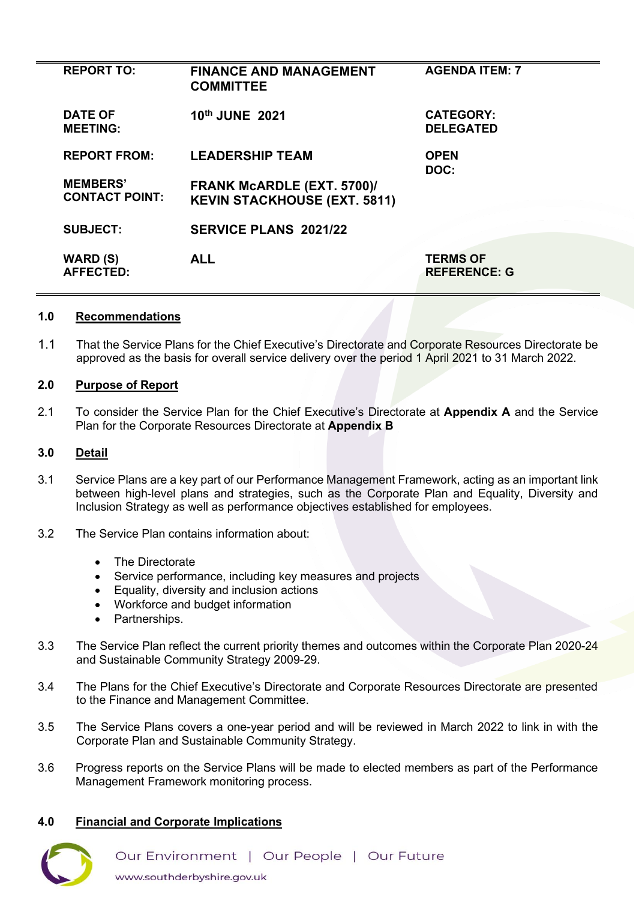| <b>REPORT TO:</b>                        | <b>FINANCE AND MANAGEMENT</b><br><b>COMMITTEE</b>                        | <b>AGENDA ITEM: 7</b>                  |
|------------------------------------------|--------------------------------------------------------------------------|----------------------------------------|
| <b>DATE OF</b><br><b>MEETING:</b>        | 10th JUNE 2021                                                           | <b>CATEGORY:</b><br><b>DELEGATED</b>   |
| <b>REPORT FROM:</b>                      | <b>LEADERSHIP TEAM</b>                                                   | <b>OPEN</b><br>DOC:                    |
| <b>MEMBERS'</b><br><b>CONTACT POINT:</b> | <b>FRANK MCARDLE (EXT. 5700)/</b><br><b>KEVIN STACKHOUSE (EXT. 5811)</b> |                                        |
| <b>SUBJECT:</b>                          | <b>SERVICE PLANS 2021/22</b>                                             |                                        |
| <b>WARD (S)</b><br><b>AFFECTED:</b>      | <b>ALL</b>                                                               | <b>TERMS OF</b><br><b>REFERENCE: G</b> |

#### **1.0 Recommendations**

1.1 That the Service Plans for the Chief Executive's Directorate and Corporate Resources Directorate be approved as the basis for overall service delivery over the period 1 April 2021 to 31 March 2022.

#### **2.0 Purpose of Report**

2.1 To consider the Service Plan for the Chief Executive's Directorate at **Appendix A** and the Service Plan for the Corporate Resources Directorate at **Appendix B** 

## **3.0 Detail**

- 3.1 Service Plans are a key part of our Performance Management Framework, acting as an important link between high-level plans and strategies, such as the Corporate Plan and Equality, Diversity and Inclusion Strategy as well as performance objectives established for employees.
- 3.2 The Service Plan contains information about:
	- The Directorate
	- Service performance, including key measures and projects
	- Equality, diversity and inclusion actions
	- Workforce and budget information
	- Partnerships.
- 3.3 The Service Plan reflect the current priority themes and outcomes within the Corporate Plan 2020-24 and Sustainable Community Strategy 2009-29.
- 3.4 The Plans for the Chief Executive's Directorate and Corporate Resources Directorate are presented to the Finance and Management Committee.
- 3.5 The Service Plans covers a one-year period and will be reviewed in March 2022 to link in with the Corporate Plan and Sustainable Community Strategy.
- 3.6 Progress reports on the Service Plans will be made to elected members as part of the Performance Management Framework monitoring process.

## **4.0 Financial and Corporate Implications**